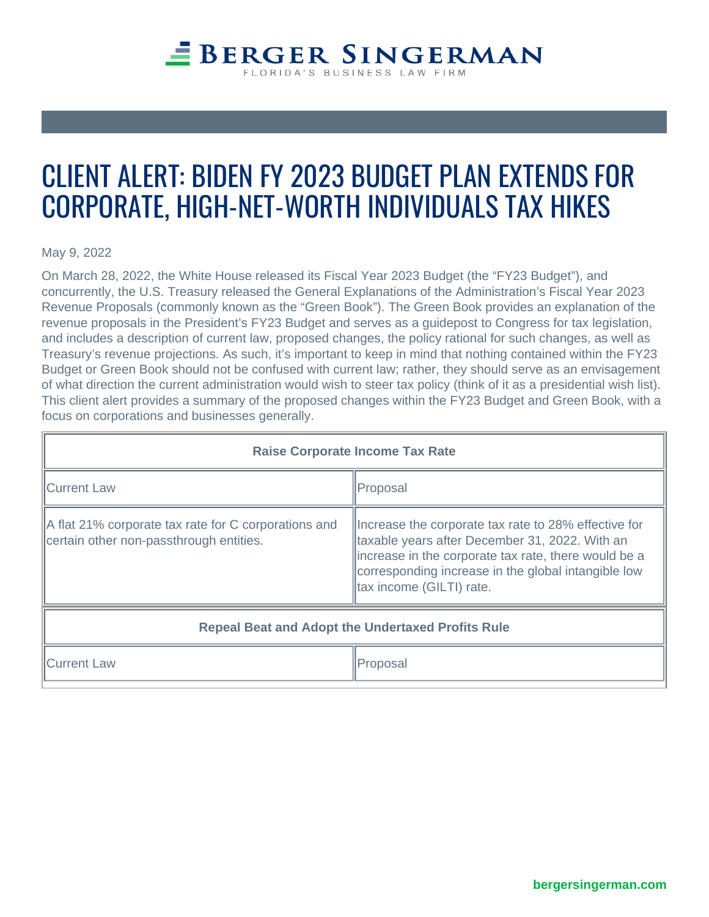## CLIENT ALERT: BIDEN FY 2023 B CORPORATE, HIGH-NET-WORTH I

May 9, 2022

On March 28, 2022, the White House released its [Fiscal Year 2023 Budget](https://www.whitehouse.gov/wp-content/uploads/2022/03/budget_fy2023.pdf) (the "FY23 Budget"), and concurrently, the U.S. Treasury released the [General Explanations of the Administration's Fiscal Year 2023](http://C:\Users\allanes\AppData\Local\Microsoft\Windows\INetCache\Content.Outlook\UI5WD2G4\General-Explanations-FY2023.pdf)  [Revenue Proposals](http://C:\Users\allanes\AppData\Local\Microsoft\Windows\INetCache\Content.Outlook\UI5WD2G4\General-Explanations-FY2023.pdf) (commonly known as the "Green Book"). The Green Book provides an explanation of the revenue proposals in the President's FY23 Budget and serves as a guidepost to Congress for tax legislation, and includes a description of current law, proposed changes, the policy rational for such changes, as well as Treasury's revenue projections. As such, it's important to keep in mind that nothing contained within the FY23 Budget or Green Book should not be confused with current law; rather, they should serve as an envisagement of what direction the current administration would wish to steer tax policy (think of it as a presidential wish list). This client alert provides a summary of the proposed changes within the FY23 Budget and Green Book, with a focus on corporations and businesses generally.

| Raise Corporate Income Tax Rate                                                                 |                                                                                                                                                                                                                                                    |
|-------------------------------------------------------------------------------------------------|----------------------------------------------------------------------------------------------------------------------------------------------------------------------------------------------------------------------------------------------------|
| <b>Current Law</b>                                                                              | Proposal                                                                                                                                                                                                                                           |
| A flat 21% corporate tax rate for C corporations and<br>certain other non-passthrough entities. | Increase the corporate tax rate to 28% effective for<br>taxable years after December 31, 2022. With an<br>lincrease in the corporate tax rate, there would be a<br>corresponding increase in the global intangible low<br>tax income (GILTI) rate. |
| Repeal Beat and Adopt the Undertaxed Profits Rule                                               |                                                                                                                                                                                                                                                    |
| <b>Current Law</b>                                                                              | Proposal                                                                                                                                                                                                                                           |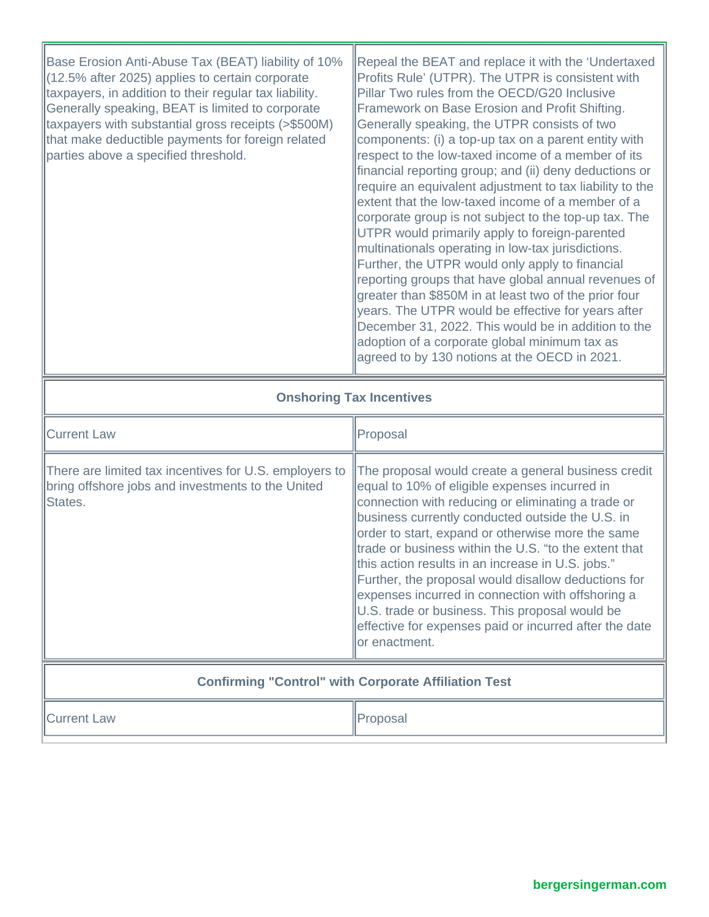| Base Erosion Anti-Abuse Tax (BEAT) liability of 10%<br>(12.5% after 2025) applies to certain corporate<br>taxpayers, in addition to their regular tax liability.<br>Generally speaking, BEAT is limited to corporate<br>taxpayers with substantial gross receipts (>\$500M)<br>that make deductible payments for foreign related<br>parties above a specified threshold. | Repeal the BEAT and replace it with the 'Undertaxed<br>Profits Rule' (UTPR). The UTPR is consistent with<br>Pillar Two rules from the OECD/G20 Inclusive<br>Framework on Base Erosion and Profit Shifting.<br>Generally speaking, the UTPR consists of two<br>components: (i) a top-up tax on a parent entity with<br>respect to the low-taxed income of a member of its<br>financial reporting group; and (ii) deny deductions or<br>require an equivalent adjustment to tax liability to the<br>extent that the low-taxed income of a member of a<br>corporate group is not subject to the top-up tax. The<br>UTPR would primarily apply to foreign-parented<br>multinationals operating in low-tax jurisdictions.<br>Further, the UTPR would only apply to financial<br>reporting groups that have global annual revenues of<br>greater than \$850M in at least two of the prior four<br>years. The UTPR would be effective for years after<br>December 31, 2022. This would be in addition to the<br>adoption of a corporate global minimum tax as<br>agreed to by 130 notions at the OECD in 2021. |
|--------------------------------------------------------------------------------------------------------------------------------------------------------------------------------------------------------------------------------------------------------------------------------------------------------------------------------------------------------------------------|---------------------------------------------------------------------------------------------------------------------------------------------------------------------------------------------------------------------------------------------------------------------------------------------------------------------------------------------------------------------------------------------------------------------------------------------------------------------------------------------------------------------------------------------------------------------------------------------------------------------------------------------------------------------------------------------------------------------------------------------------------------------------------------------------------------------------------------------------------------------------------------------------------------------------------------------------------------------------------------------------------------------------------------------------------------------------------------------------------|
| <b>Onshoring Tax Incentives</b>                                                                                                                                                                                                                                                                                                                                          |                                                                                                                                                                                                                                                                                                                                                                                                                                                                                                                                                                                                                                                                                                                                                                                                                                                                                                                                                                                                                                                                                                         |
| <b>Current Law</b>                                                                                                                                                                                                                                                                                                                                                       | Proposal                                                                                                                                                                                                                                                                                                                                                                                                                                                                                                                                                                                                                                                                                                                                                                                                                                                                                                                                                                                                                                                                                                |
| There are limited tax incentives for U.S. employers to<br>bring offshore jobs and investments to the United<br>States.                                                                                                                                                                                                                                                   | The proposal would create a general business credit<br>equal to 10% of eligible expenses incurred in<br>connection with reducing or eliminating a trade or<br>business currently conducted outside the U.S. in<br>order to start, expand or otherwise more the same<br>trade or business within the U.S. "to the extent that<br>this action results in an increase in U.S. jobs."<br>Further, the proposal would disallow deductions for<br>expenses incurred in connection with offshoring a<br>U.S. trade or business. This proposal would be<br>effective for expenses paid or incurred after the date<br>or enactment.                                                                                                                                                                                                                                                                                                                                                                                                                                                                              |
| <b>Confirming "Control" with Corporate Affiliation Test</b>                                                                                                                                                                                                                                                                                                              |                                                                                                                                                                                                                                                                                                                                                                                                                                                                                                                                                                                                                                                                                                                                                                                                                                                                                                                                                                                                                                                                                                         |
|                                                                                                                                                                                                                                                                                                                                                                          |                                                                                                                                                                                                                                                                                                                                                                                                                                                                                                                                                                                                                                                                                                                                                                                                                                                                                                                                                                                                                                                                                                         |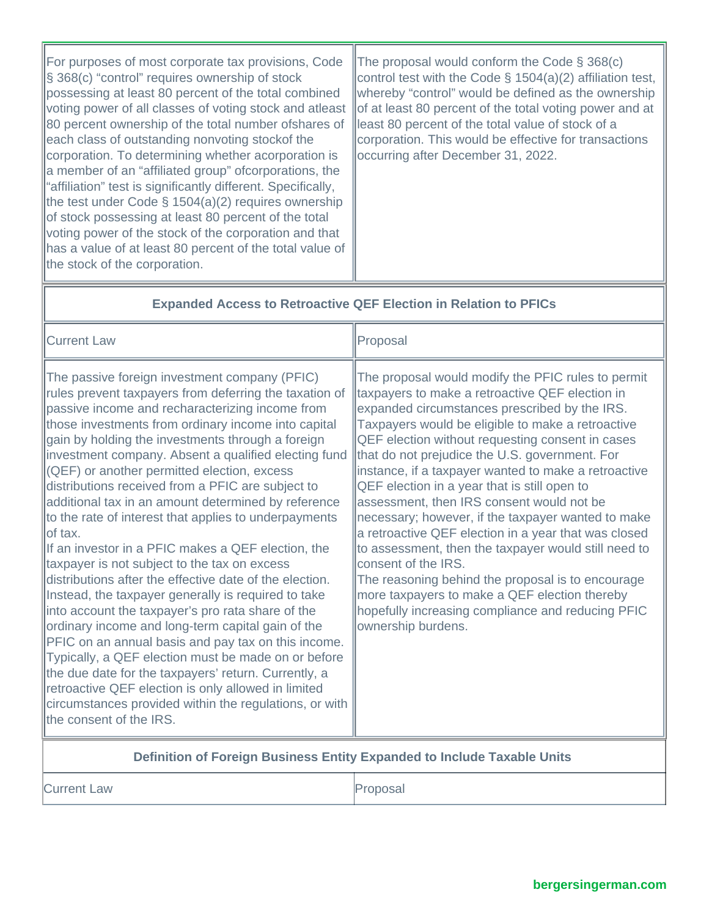| For purposes of most corporate tax provisions, Code<br>$\left  \S$ 368(c) "control" requires ownership of stock<br>possessing at least 80 percent of the total combined<br>voting power of all classes of voting stock and atleast<br>80 percent ownership of the total number of shares of<br>each class of outstanding nonvoting stockof the<br>corporation. To determining whether acorporation is<br>a member of an "affiliated group" ofcorporations, the<br>"affiliation" test is significantly different. Specifically,<br>the test under Code $\S$ 1504(a)(2) requires ownership<br>of stock possessing at least 80 percent of the total<br>voting power of the stock of the corporation and that<br>has a value of at least 80 percent of the total value of<br>the stock of the corporation. | The proposal would conform the Code $\S$ 368(c)<br>control test with the Code $\S$ 1504(a)(2) affiliation test,<br>whereby "control" would be defined as the ownership<br>of at least 80 percent of the total voting power and at<br>least 80 percent of the total value of stock of a<br>corporation. This would be effective for transactions<br>occurring after December 31, 2022. |
|--------------------------------------------------------------------------------------------------------------------------------------------------------------------------------------------------------------------------------------------------------------------------------------------------------------------------------------------------------------------------------------------------------------------------------------------------------------------------------------------------------------------------------------------------------------------------------------------------------------------------------------------------------------------------------------------------------------------------------------------------------------------------------------------------------|---------------------------------------------------------------------------------------------------------------------------------------------------------------------------------------------------------------------------------------------------------------------------------------------------------------------------------------------------------------------------------------|
|--------------------------------------------------------------------------------------------------------------------------------------------------------------------------------------------------------------------------------------------------------------------------------------------------------------------------------------------------------------------------------------------------------------------------------------------------------------------------------------------------------------------------------------------------------------------------------------------------------------------------------------------------------------------------------------------------------------------------------------------------------------------------------------------------------|---------------------------------------------------------------------------------------------------------------------------------------------------------------------------------------------------------------------------------------------------------------------------------------------------------------------------------------------------------------------------------------|

<u> 1989 - Johann Stein, markin sammen fyrir sener og fyrir sener og fyrir sener og fyrir sener og fyrir sener og</u>

| <b>Expanded Access to Retroactive QEF Election in Relation to PFICs</b>                                                                                                                                                                                                                                                                                                                                                                                                                                                                                                                                                                                                                                                                                                                                                                                                                                                                                                                                                                                                                                                                                                                                           |                                                                                                                                                                                                                                                                                                                                                                                                                                                                                                                                                                                                                                                                                                                                                                                                                                                      |
|-------------------------------------------------------------------------------------------------------------------------------------------------------------------------------------------------------------------------------------------------------------------------------------------------------------------------------------------------------------------------------------------------------------------------------------------------------------------------------------------------------------------------------------------------------------------------------------------------------------------------------------------------------------------------------------------------------------------------------------------------------------------------------------------------------------------------------------------------------------------------------------------------------------------------------------------------------------------------------------------------------------------------------------------------------------------------------------------------------------------------------------------------------------------------------------------------------------------|------------------------------------------------------------------------------------------------------------------------------------------------------------------------------------------------------------------------------------------------------------------------------------------------------------------------------------------------------------------------------------------------------------------------------------------------------------------------------------------------------------------------------------------------------------------------------------------------------------------------------------------------------------------------------------------------------------------------------------------------------------------------------------------------------------------------------------------------------|
| <b>Current Law</b>                                                                                                                                                                                                                                                                                                                                                                                                                                                                                                                                                                                                                                                                                                                                                                                                                                                                                                                                                                                                                                                                                                                                                                                                | Proposal                                                                                                                                                                                                                                                                                                                                                                                                                                                                                                                                                                                                                                                                                                                                                                                                                                             |
| The passive foreign investment company (PFIC)<br>rules prevent taxpayers from deferring the taxation of<br>passive income and recharacterizing income from<br>those investments from ordinary income into capital<br>gain by holding the investments through a foreign<br>investment company. Absent a qualified electing fund<br>(QEF) or another permitted election, excess<br>distributions received from a PFIC are subject to<br>additional tax in an amount determined by reference<br>to the rate of interest that applies to underpayments<br>of tax.<br>If an investor in a PFIC makes a QEF election, the<br>taxpayer is not subject to the tax on excess<br>distributions after the effective date of the election.<br>Instead, the taxpayer generally is required to take<br>into account the taxpayer's pro rata share of the<br>ordinary income and long-term capital gain of the<br>PFIC on an annual basis and pay tax on this income.<br>Typically, a QEF election must be made on or before<br>the due date for the taxpayers' return. Currently, a<br>retroactive QEF election is only allowed in limited<br>circumstances provided within the regulations, or with<br>the consent of the IRS. | The proposal would modify the PFIC rules to permit<br>taxpayers to make a retroactive QEF election in<br>expanded circumstances prescribed by the IRS.<br>Taxpayers would be eligible to make a retroactive<br>QEF election without requesting consent in cases<br>that do not prejudice the U.S. government. For<br>instance, if a taxpayer wanted to make a retroactive<br>QEF election in a year that is still open to<br>assessment, then IRS consent would not be<br>necessary; however, if the taxpayer wanted to make<br>a retroactive QEF election in a year that was closed<br>to assessment, then the taxpayer would still need to<br>consent of the IRS.<br>The reasoning behind the proposal is to encourage<br>more taxpayers to make a QEF election thereby<br>hopefully increasing compliance and reducing PFIC<br>ownership burdens. |
|                                                                                                                                                                                                                                                                                                                                                                                                                                                                                                                                                                                                                                                                                                                                                                                                                                                                                                                                                                                                                                                                                                                                                                                                                   |                                                                                                                                                                                                                                                                                                                                                                                                                                                                                                                                                                                                                                                                                                                                                                                                                                                      |

## **Definition of Foreign Business Entity Expanded to Include Taxable Units**

**Current Law Proposal** 

Б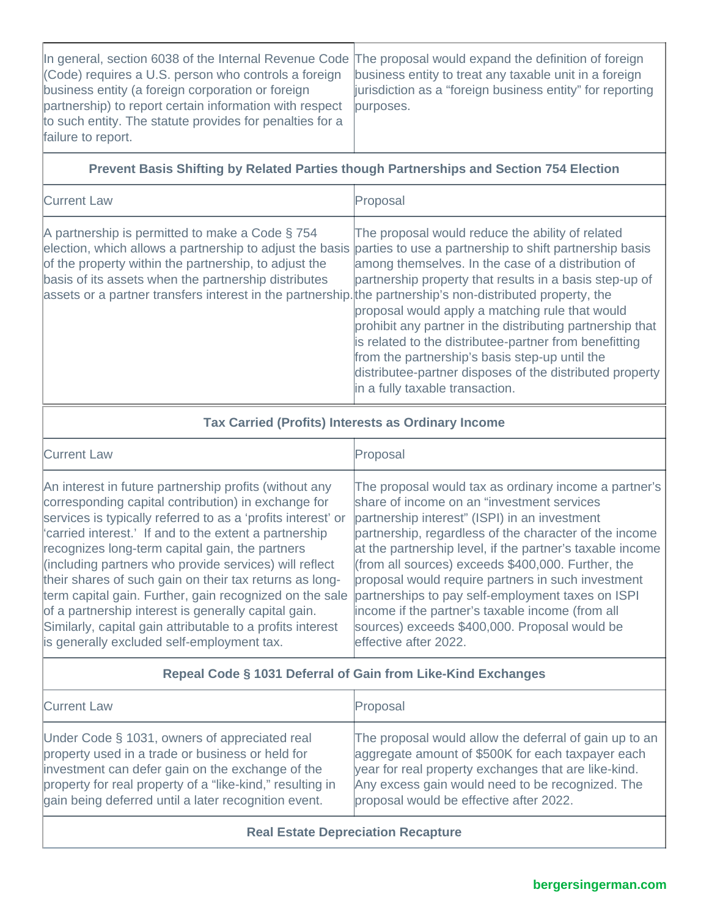| In general, section 6038 of the Internal Revenue Code The proposal would expand the definition of foreign<br>(Code) requires a U.S. person who controls a foreign | business entity to treat any taxable unit in a foreign                 |
|-------------------------------------------------------------------------------------------------------------------------------------------------------------------|------------------------------------------------------------------------|
| business entity (a foreign corporation or foreign<br>partnership) to report certain information with respect                                                      | jurisdiction as a "foreign business entity" for reporting<br>purposes. |
| to such entity. The statute provides for penalties for a                                                                                                          |                                                                        |
| failure to report.                                                                                                                                                |                                                                        |

## **Prevent Basis Shifting by Related Parties though Partnerships and Section 754 Election**

| <b>Current Law</b>                                                                                                                                                                                                                                                                                                                                                                                 | Proposal                                                                                                                                                                                                                                                                                                                                                                                                                                                                                     |
|----------------------------------------------------------------------------------------------------------------------------------------------------------------------------------------------------------------------------------------------------------------------------------------------------------------------------------------------------------------------------------------------------|----------------------------------------------------------------------------------------------------------------------------------------------------------------------------------------------------------------------------------------------------------------------------------------------------------------------------------------------------------------------------------------------------------------------------------------------------------------------------------------------|
| A partnership is permitted to make a Code § 754<br>election, which allows a partnership to adjust the basis parties to use a partnership to shift partnership basis<br>of the property within the partnership, to adjust the<br>basis of its assets when the partnership distributes<br>assets or a partner transfers interest in the partnership. the partnership's non-distributed property, the | The proposal would reduce the ability of related<br>among themselves. In the case of a distribution of<br>partnership property that results in a basis step-up of<br>proposal would apply a matching rule that would<br>prohibit any partner in the distributing partnership that<br>is related to the distributee-partner from benefitting<br>from the partnership's basis step-up until the<br>distributee-partner disposes of the distributed property<br>in a fully taxable transaction. |

| <b>Tax Carried (Profits) Interests as Ordinary Income</b>                                                                                                                                                                                                                                                                                                                                                                                                                                                                                                                                                                                      |                                                                                                                                                                                                                                                                                                                                                                                                                                                                                                                                                                               |
|------------------------------------------------------------------------------------------------------------------------------------------------------------------------------------------------------------------------------------------------------------------------------------------------------------------------------------------------------------------------------------------------------------------------------------------------------------------------------------------------------------------------------------------------------------------------------------------------------------------------------------------------|-------------------------------------------------------------------------------------------------------------------------------------------------------------------------------------------------------------------------------------------------------------------------------------------------------------------------------------------------------------------------------------------------------------------------------------------------------------------------------------------------------------------------------------------------------------------------------|
| <b>Current Law</b>                                                                                                                                                                                                                                                                                                                                                                                                                                                                                                                                                                                                                             | Proposal                                                                                                                                                                                                                                                                                                                                                                                                                                                                                                                                                                      |
| An interest in future partnership profits (without any<br>corresponding capital contribution) in exchange for<br>services is typically referred to as a 'profits interest' or<br>'carried interest.' If and to the extent a partnership<br>recognizes long-term capital gain, the partners<br>(including partners who provide services) will reflect<br>their shares of such gain on their tax returns as long-<br>term capital gain. Further, gain recognized on the sale<br>of a partnership interest is generally capital gain.<br>Similarly, capital gain attributable to a profits interest<br>is generally excluded self-employment tax. | The proposal would tax as ordinary income a partner's<br>share of income on an "investment services<br>partnership interest" (ISPI) in an investment<br>partnership, regardless of the character of the income<br>at the partnership level, if the partner's taxable income<br>(from all sources) exceeds $$400,000$ . Further, the<br>proposal would require partners in such investment<br>partnerships to pay self-employment taxes on ISPI<br>income if the partner's taxable income (from all<br>sources) exceeds \$400,000. Proposal would be<br>leffective after 2022. |
| Repeal Code § 1031 Deferral of Gain from Like-Kind Exchanges                                                                                                                                                                                                                                                                                                                                                                                                                                                                                                                                                                                   |                                                                                                                                                                                                                                                                                                                                                                                                                                                                                                                                                                               |

| <b>Current Law</b>                                        | Proposal                                               |
|-----------------------------------------------------------|--------------------------------------------------------|
| Under Code § 1031, owners of appreciated real             | The proposal would allow the deferral of gain up to an |
| property used in a trade or business or held for          | laggregate amount of \$500K for each taxpayer each     |
| investment can defer gain on the exchange of the          | year for real property exchanges that are like-kind.   |
| property for real property of a "like-kind," resulting in | Any excess gain would need to be recognized. The       |
| gain being deferred until a later recognition event.      | proposal would be effective after 2022.                |

## **Real Estate Depreciation Recapture**